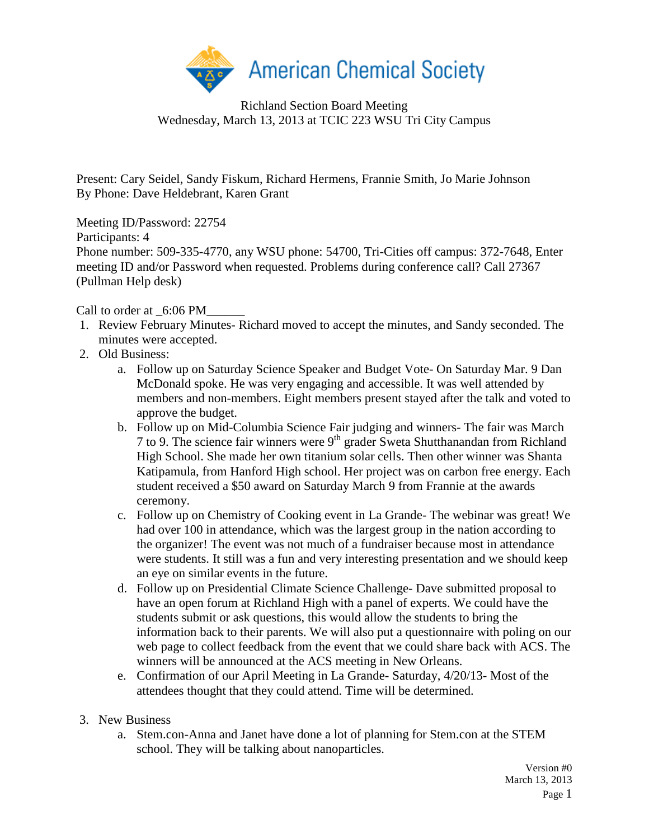

Richland Section Board Meeting Wednesday, March 13, 2013 at TCIC 223 WSU Tri City Campus

Present: Cary Seidel, Sandy Fiskum, Richard Hermens, Frannie Smith, Jo Marie Johnson By Phone: Dave Heldebrant, Karen Grant

Meeting ID/Password: 22754

Participants: 4

Phone number: 509-335-4770, any WSU phone: 54700, Tri-Cities off campus: 372-7648, Enter meeting ID and/or Password when requested. Problems during conference call? Call 27367 (Pullman Help desk)

Call to order at  $6:06$  PM

- 1. Review February Minutes- Richard moved to accept the minutes, and Sandy seconded. The minutes were accepted.
- 2. Old Business:
	- a. Follow up on Saturday Science Speaker and Budget Vote- On Saturday Mar. 9 Dan McDonald spoke. He was very engaging and accessible. It was well attended by members and non-members. Eight members present stayed after the talk and voted to approve the budget.
	- b. Follow up on Mid-Columbia Science Fair judging and winners- The fair was March 7 to 9. The science fair winners were  $9<sup>th</sup>$  grader Sweta Shutthanandan from Richland High School. She made her own titanium solar cells. Then other winner was Shanta Katipamula, from Hanford High school. Her project was on carbon free energy. Each student received a \$50 award on Saturday March 9 from Frannie at the awards ceremony.
	- c. Follow up on Chemistry of Cooking event in La Grande- The webinar was great! We had over 100 in attendance, which was the largest group in the nation according to the organizer! The event was not much of a fundraiser because most in attendance were students. It still was a fun and very interesting presentation and we should keep an eye on similar events in the future.
	- d. Follow up on Presidential Climate Science Challenge- Dave submitted proposal to have an open forum at Richland High with a panel of experts. We could have the students submit or ask questions, this would allow the students to bring the information back to their parents. We will also put a questionnaire with poling on our web page to collect feedback from the event that we could share back with ACS. The winners will be announced at the ACS meeting in New Orleans.
	- e. Confirmation of our April Meeting in La Grande- Saturday, 4/20/13- Most of the attendees thought that they could attend. Time will be determined.
- 3. New Business
	- a. Stem.con-Anna and Janet have done a lot of planning for Stem.con at the STEM school. They will be talking about nanoparticles.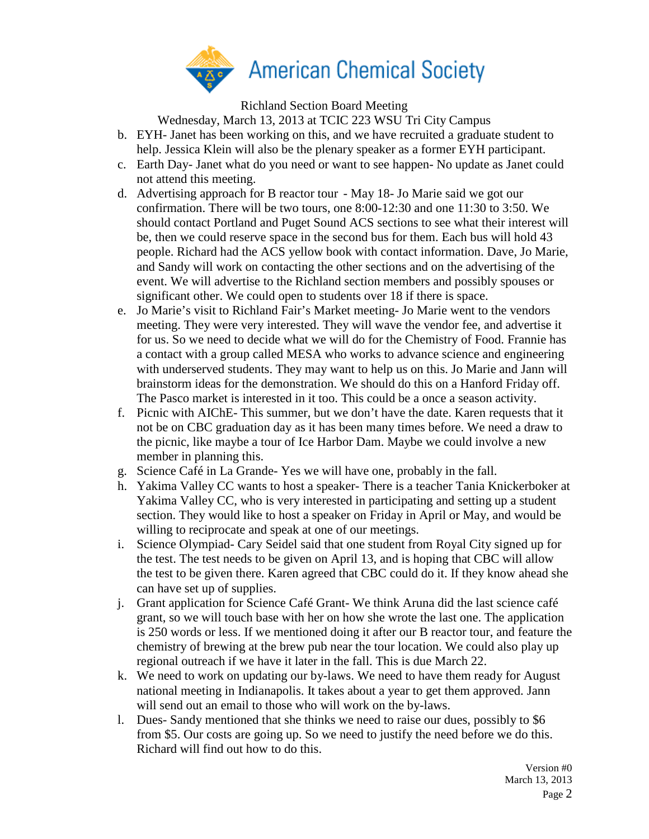

Richland Section Board Meeting

Wednesday, March 13, 2013 at TCIC 223 WSU Tri City Campus

- b. EYH- Janet has been working on this, and we have recruited a graduate student to help. Jessica Klein will also be the plenary speaker as a former EYH participant.
- c. Earth Day- Janet what do you need or want to see happen- No update as Janet could not attend this meeting.
- d. Advertising approach for B reactor tour May 18- Jo Marie said we got our confirmation. There will be two tours, one 8:00-12:30 and one 11:30 to 3:50. We should contact Portland and Puget Sound ACS sections to see what their interest will be, then we could reserve space in the second bus for them. Each bus will hold 43 people. Richard had the ACS yellow book with contact information. Dave, Jo Marie, and Sandy will work on contacting the other sections and on the advertising of the event. We will advertise to the Richland section members and possibly spouses or significant other. We could open to students over 18 if there is space.
- e. Jo Marie's visit to Richland Fair's Market meeting- Jo Marie went to the vendors meeting. They were very interested. They will wave the vendor fee, and advertise it for us. So we need to decide what we will do for the Chemistry of Food. Frannie has a contact with a group called MESA who works to advance science and engineering with underserved students. They may want to help us on this. Jo Marie and Jann will brainstorm ideas for the demonstration. We should do this on a Hanford Friday off. The Pasco market is interested in it too. This could be a once a season activity.
- f. Picnic with AIChE- This summer, but we don't have the date. Karen requests that it not be on CBC graduation day as it has been many times before. We need a draw to the picnic, like maybe a tour of Ice Harbor Dam. Maybe we could involve a new member in planning this.
- g. Science Café in La Grande- Yes we will have one, probably in the fall.
- h. Yakima Valley CC wants to host a speaker- There is a teacher Tania Knickerboker at Yakima Valley CC, who is very interested in participating and setting up a student section. They would like to host a speaker on Friday in April or May, and would be willing to reciprocate and speak at one of our meetings.
- i. Science Olympiad- Cary Seidel said that one student from Royal City signed up for the test. The test needs to be given on April 13, and is hoping that CBC will allow the test to be given there. Karen agreed that CBC could do it. If they know ahead she can have set up of supplies.
- j. Grant application for Science Café Grant- We think Aruna did the last science café grant, so we will touch base with her on how she wrote the last one. The application is 250 words or less. If we mentioned doing it after our B reactor tour, and feature the chemistry of brewing at the brew pub near the tour location. We could also play up regional outreach if we have it later in the fall. This is due March 22.
- k. We need to work on updating our by-laws. We need to have them ready for August national meeting in Indianapolis. It takes about a year to get them approved. Jann will send out an email to those who will work on the by-laws.
- l. Dues- Sandy mentioned that she thinks we need to raise our dues, possibly to \$6 from \$5. Our costs are going up. So we need to justify the need before we do this. Richard will find out how to do this.